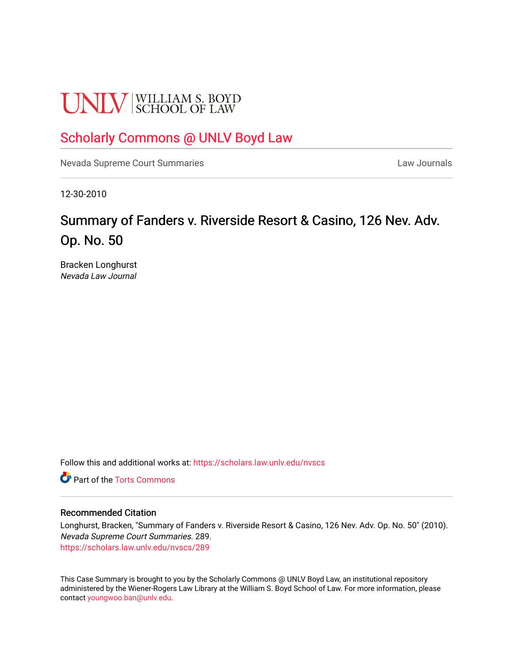# **UNLV** SCHOOL OF LAW

### [Scholarly Commons @ UNLV Boyd Law](https://scholars.law.unlv.edu/)

[Nevada Supreme Court Summaries](https://scholars.law.unlv.edu/nvscs) **Law Journals** Law Journals

12-30-2010

## Summary of Fanders v. Riverside Resort & Casino, 126 Nev. Adv. Op. No. 50

Bracken Longhurst Nevada Law Journal

Follow this and additional works at: [https://scholars.law.unlv.edu/nvscs](https://scholars.law.unlv.edu/nvscs?utm_source=scholars.law.unlv.edu%2Fnvscs%2F289&utm_medium=PDF&utm_campaign=PDFCoverPages)

**C** Part of the [Torts Commons](http://network.bepress.com/hgg/discipline/913?utm_source=scholars.law.unlv.edu%2Fnvscs%2F289&utm_medium=PDF&utm_campaign=PDFCoverPages)

#### Recommended Citation

Longhurst, Bracken, "Summary of Fanders v. Riverside Resort & Casino, 126 Nev. Adv. Op. No. 50" (2010). Nevada Supreme Court Summaries. 289. [https://scholars.law.unlv.edu/nvscs/289](https://scholars.law.unlv.edu/nvscs/289?utm_source=scholars.law.unlv.edu%2Fnvscs%2F289&utm_medium=PDF&utm_campaign=PDFCoverPages)

This Case Summary is brought to you by the Scholarly Commons @ UNLV Boyd Law, an institutional repository administered by the Wiener-Rogers Law Library at the William S. Boyd School of Law. For more information, please contact [youngwoo.ban@unlv.edu](mailto:youngwoo.ban@unlv.edu).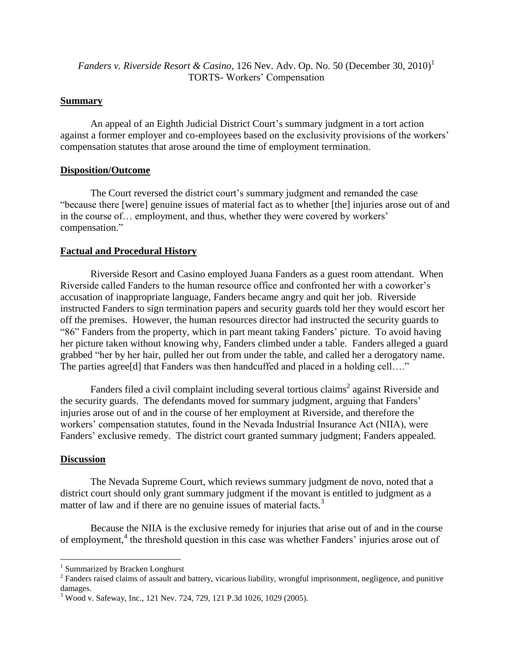*Fanders v. Riverside Resort & Casino,* 126 Nev. Adv. Op. No. 50 (December 30, 2010)<sup>1</sup> TORTS- Workers' Compensation

#### **Summary**

An appeal of an Eighth Judicial District Court's summary judgment in a tort action against a former employer and co-employees based on the exclusivity provisions of the workers' compensation statutes that arose around the time of employment termination.

#### **Disposition/Outcome**

The Court reversed the district court's summary judgment and remanded the case "because there [were] genuine issues of material fact as to whether [the] injuries arose out of and in the course of… employment, and thus, whether they were covered by workers' compensation."

#### **Factual and Procedural History**

Riverside Resort and Casino employed Juana Fanders as a guest room attendant. When Riverside called Fanders to the human resource office and confronted her with a coworker's accusation of inappropriate language, Fanders became angry and quit her job. Riverside instructed Fanders to sign termination papers and security guards told her they would escort her off the premises. However, the human resources director had instructed the security guards to "86" Fanders from the property, which in part meant taking Fanders' picture. To avoid having her picture taken without knowing why, Fanders climbed under a table. Fanders alleged a guard grabbed "her by her hair, pulled her out from under the table, and called her a derogatory name. The parties agree [d] that Fanders was then handcuffed and placed in a holding cell...."

Fanders filed a civil complaint including several tortious claims<sup>2</sup> against Riverside and the security guards. The defendants moved for summary judgment, arguing that Fanders' injuries arose out of and in the course of her employment at Riverside, and therefore the workers' compensation statutes, found in the Nevada Industrial Insurance Act (NIIA), were Fanders' exclusive remedy. The district court granted summary judgment; Fanders appealed.

#### **Discussion**

 $\overline{a}$ 

The Nevada Supreme Court, which reviews summary judgment de novo, noted that a district court should only grant summary judgment if the movant is entitled to judgment as a matter of law and if there are no genuine issues of material facts.<sup>3</sup>

Because the NIIA is the exclusive remedy for injuries that arise out of and in the course of employment,<sup>4</sup> the threshold question in this case was whether Fanders' injuries arose out of

<sup>&</sup>lt;sup>1</sup> Summarized by Bracken Longhurst

 $2^2$  Fanders raised claims of assault and battery, vicarious liability, wrongful imprisonment, negligence, and punitive damages.

<sup>&</sup>lt;sup>3</sup> Wood v. Safeway, Inc., 121 Nev. 724, 729, 121 P.3d 1026, 1029 (2005).